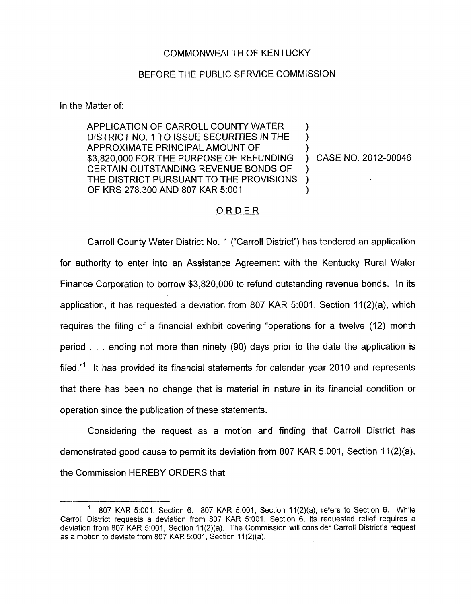## COMMONWEALTH OF KENTUCKY

## BEFORE THE PUBLIC SERVICE COMMISSION

In the Matter of:

APPLICATION OF CARROLL COUNTY WATER DISTRICT NO. 1 TO ISSUE SECURITIES IN THE APPROXIMATE PRINCIPAL AMOUNT OF \$3,820,000 FOR THE PURPOSE OF REFUNDING ) CASE NO. 2012-00046 CERTAIN OUTSTANDING REVENUE BONDS OF THE DISTRICT PURSUANT TO THE PROVISIONS ) OF KRS 278.300 AND 807 KAR 5:001

 $\sum_{i=1}^{n}$  $\sum_{i=1}^{n}$ 

## ORDER

Carroll County Water District No. 1 ("Carroll District") has tendered an application for authority to enter into an Assistance Agreement with the Kentucky Rural Water Finance Corporation to borrow \$3,820,000 to refund outstanding revenue bonds. In its application, it has requested a deviation from 807 KAR 5:001, Section 11(2)(a), which requires the filing of a financial exhibit covering "operations for a twelve (12) month period . . . ending not more than ninety (90) days prior to the date the application is filed."<sup>1</sup> It has provided its financial statements for calendar year 2010 and represents that there has been no change that *is* material in nature in its financial condition or operation since the publication of these statements.

Considering the request as a motion and finding that Carroll District has demonstrated good cause to permit its deviation from 807 KAR 5:001, Section 11(2)(a), the Commission HEREBY ORDERS that:

 $1$  807 KAR 5:001, Section 6. 807 KAR 5:001, Section 11(2)(a), refers to Section 6. While Carroll District requests a deviation from 807 KAR 5:001, Section 6, its requested relief requires a deviation from 807 KAR 5:001, Section 11(2)(a). The Commission will consider Carroll District's request as a motion to deviate from 807 KAR 5:001, Section 11(2)(a).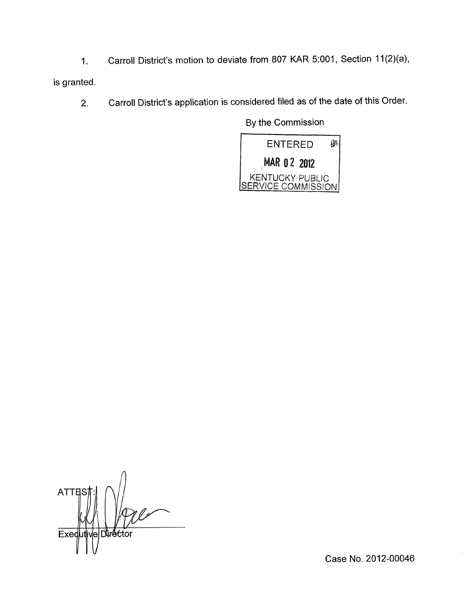1. Carroll District's motion to deviate from 807 KAR 5:001, Section 11 (2)(a),

is granted.

2. Carroll District's application is considered filed as of the date of this Order.

**By** the Commission



**ATTES** Exed Durector le.

Case No. 2012-00046